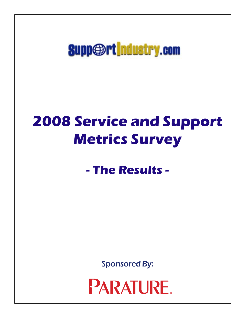**Supp**@rt | ndustry.com

# **2008 Service and Support Metrics Survey**

**- The Results -**

Sponsored By:

**PARATURE**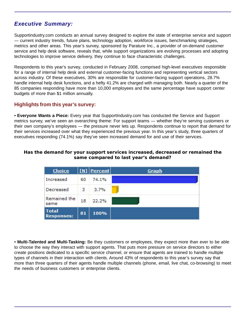# *Executive Summary:*

Supportindustry.com conducts an annual survey designed to explore the state of enterprise service and support — current industry trends, future plans, technology adoption, workforce issues, benchmarking strategies, metrics and other areas. This year's survey, sponsored by Parature Inc., a provider of on-demand customer service and help desk software, reveals that, while support organizations are evolving processes and adopting technologies to improve service delivery, they continue to face characteristic challenges.

Respondents to this year's survey, conducted in February 2008, comprised high-level executives responsible for a range of internal help desk and external customer-facing functions and representing vertical sectors across industry. Of these executives, 30% are responsible for customer-facing support operations, 28.7% handle internal help desk functions, and a hefty 41.2% are charged with managing both. Nearly a quarter of the 85 companies responding have more than 10,000 employees and the same percentage have support center budgets of more than \$1 million annually.

# **Highlights from this year's survey:**

• **Everyone Wants a Piece:** Every year that SupportIndustry.com has conducted the Service and Support metrics survey, we've seen an overarching theme: For support teams — whether they're serving customers or their own company's employees — the pressure never lets up. Respondents continue to report that demand for their services increased over what they experienced the previous year. In this year's study, three quarters of executives responding (74.1%) say they've seen increased demand for and use of their services.

#### **Has the demand for your support services increased, decreased or remained the same compared to last year's demand?**

| Choice                            |    | [N] Percent | Graph |
|-----------------------------------|----|-------------|-------|
| Increased                         | 60 | 74.1%       |       |
| Decreased                         | 3  | 3.7%        |       |
| Remained the<br>same              | 18 | 22.2%       |       |
| <b>Total</b><br><b>Responses:</b> | 81 | 100%        |       |

• **Multi-Talented and Multi-Tasking:** Be they customers or employees, they expect more than ever to be able to choose the way they interact with support agents. That puts more pressure on service directors to either create positions dedicated to a specific service channel, or ensure that agents are trained to handle multiple types of channels in their interaction with clients. Around 43% of respondents to this year's survey say that more than three quarters of their agents handle multiple channels (phone, email, live chat, co-browsing) to meet the needs of business customers or enterprise clients.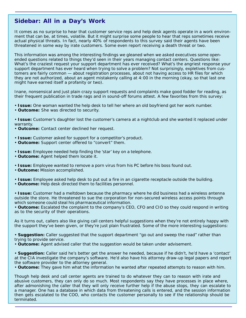# **Sidebar: All in a Day's Work**

It comes as no surprise to hear that customer service reps and help desk agents operate in a work environment that can be, at times, volatile. But it might surprise some people to hear that reps sometimes receive actual physical threats. In fact, nearly 40% of respondents to this survey said their agents have been threatened in some way by irate customers. Some even report receiving a death threat or two.

This information was among the interesting findings we gleaned when we asked executives some openended questions related to things they'd seen in their years managing contact centers. Questions like: What's the craziest request your support department has ever received? What's the angriest response your support department has ever heard when trying to solve a problem? Not surprisingly, expletives from customers are fairly common — about registration processes, about not having access to HR files for which they are not authorized, about an agent mistakenly calling at 4:00 in the morning (okay, so that last one might have earned itself a profanity or two).

Inane, nonsensical and just plain crazy support requests and complaints make good fodder for reading, as their frequent publication in trade rags and in sound-off forums attest. A few favorites from this survey:

- • **Issue:** One woman wanted the help desk to tell her where an old boyfriend got her work number.
- • **Outcome:** She was directed to security.

• **Issue:** Customer's daughter lost the customer's camera at a nightclub and she wanted it replaced under warranty.

• **Outcome:** Contact center declined her request.

- • **Issue:** Customer asked for support for a competitor's product.
- • **Outcome:** Support center offered to "convert" them.
- • **Issue:** Employee needed help finding the 'star' key on a telephone.
- • **Outcome:** Agent helped them locate it.
- • **Issue:** Employee wanted to remove a porn virus from his PC before his boss found out.
- • **Outcome:** Mission accomplished.
- • **Issue:** Employee asked help desk to put out a fire in an cigarette receptacle outside the building.
- • **Outcome:** Help desk directed them to facilities personnel.

• **Issue:** Customer had a meltdown because the pharmacy where he did business had a wireless antenna outside the store. He threatened to sue the corporation for non-secured wireless access points through which someone could steal his pharmaceutical information.

• **Outcome:** Escalated the complaint to the company's CEO, CFO and CIO so they could respond in writing as to the security of their operations.

As it turns out, callers also like giving call centers helpful suggestions when they're not entirely happy with the support they've been given, or they're just plain frustrated. Some of the more interesting suggestions:

• **Suggestion:** Caller suggested that the support department "go out and sweep the road" rather than trying to provide service.

• **Outcome:** Agent advised caller that the suggestion would be taken under advisement.

• **Suggestion:** Caller said he's better get the answer he needed, because if he didn't, he'd have a 'contact' at the CIA investigate the company's software. He'd also have his attorney draw-up legal papers and report the software provider to the attorney general.

• **Outcome:** They gave him what the information he wanted after repeated attempts to reason with him.

Though help desk and call center agents are trained to do whatever they can to reason with irate and abusive customers, they can only do so much. Most respondents say they have processes in place where, after admonishing the caller that they will only receive further help if the abuse stops, they can escalate to a manager. One has a database in which data from threatening calls is entered, and the session information then gets escalated to the COO, who contacts the customer personally to see if the relationship should be terminated.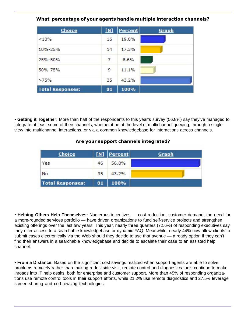| Choice                  | <b>IN1</b> | <u> Percent</u> | Graph |
|-------------------------|------------|-----------------|-------|
| < 10%                   | 16         | 19.8%           |       |
| 10%-25%                 | 14         | 17.3%           |       |
| 25%-50%                 | -2630<br>7 | 8.6%            |       |
| 50%-75%                 | 9          | 11.1%           |       |
| >75%                    | 35         | 43.2%           |       |
| <b>Total Responses:</b> | 81         | 100%            |       |

**What percentage of your agents handle multiple interaction channels?**

• **Getting it Together:** More than half of the respondents to this year's survey (56.8%) say they've managed to integrate at least some of their channels, whether it be at the level of multichannel queuing, through a single view into multichannel interactions, or via a common knowledgebase for interactions across channels.

# **Are your support channels integrated?**

| <b>Choice</b>           |    | $[N]$ Percent | Graph |
|-------------------------|----|---------------|-------|
| Yes                     | 46 | 56.8%         |       |
| No                      | 35 | 43.2%         |       |
| <b>Total Responses:</b> | 81 | 100%          |       |

• **Helping Others Help Themselves:** Numerous incentives — cost reduction, customer demand, the need for a more-rounded services portfolio — have driven organizations to fund self-service projects and strengthen existing offerings over the last few years. This year, nearly three quarters (72.6%) of responding executives say they offer access to a searchable knowledgebase or dynamic FAQ. Meanwhile, nearly 44% now allow clients to submit cases electronically via the Web should they decide to use that avenue — a ready option if they can't find their answers in a searchable knowledgebase and decide to escalate their case to an assisted help channel.

• **From a Distance:** Based on the significant cost savings realized when support agents are able to solve problems remotely rather than making a deskside visit, remote control and diagnostics tools continue to make inroads into IT help desks, both for enterprise and customer support. More than 45% of responding organizations use remote control tools in their support efforts, while 21.2% use remote diagnostics and 27.5% leverage screen-sharing and co-browsing technologies.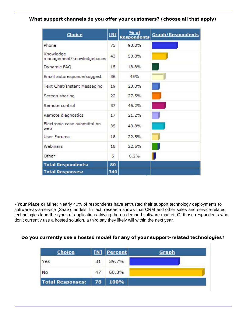# **What support channels do you offer your customers? (choose all that apply)**

| Choice                                 | $\mathbf{M}$ | % of<br><b>Respondents</b> | <b>Graph/Respondents</b> |
|----------------------------------------|--------------|----------------------------|--------------------------|
| Phone                                  | 75           | 93.8%                      |                          |
| Knowledge<br>management/knowledgebases | 43           | 53.8%                      |                          |
| Dynamic FAQ                            | 15           | 18.8%                      |                          |
| Email autoresponse/suggest             | 36           | 45%                        |                          |
| Text Chat/Instant Messaging            | 19           | 23.8%                      |                          |
| Screen sharing                         | 22           | 27.5%                      |                          |
| Remote control                         | 37           | 46.2%                      |                          |
| Remote diagnostics                     | 17           | 21.2%                      |                          |
| Electronic case submittal on<br>web    | 35           | 43.8%                      |                          |
| User Forums                            | 18           | 22.5%                      |                          |
| Webinars                               | 18           | 22.5%                      |                          |
| Other                                  | 5            | 6.2%                       |                          |
| <b>Total Respondents:</b>              | 80           |                            |                          |
| <b>Total Responses:</b>                | 340          |                            |                          |

• **Your Place or Mine:** Nearly 40% of respondents have entrusted their support technology deployments to software-as-a-service (SaaS) models. In fact, research shows that CRM and other sales and service-related technologies lead the types of applications driving the on-demand software market. Of those respondents who don't currently use a hosted solution, a third say they likely will within the next year.

# **Do you currently use a hosted model for any of your support-related technologies?**

| <b>Choice</b>         |    | [N] Percent | Graph |
|-----------------------|----|-------------|-------|
| Yes                   | 31 | 39.7%       |       |
| No                    | 47 | 60.3%       |       |
| Total Responses:   78 |    | $ 100\%$    |       |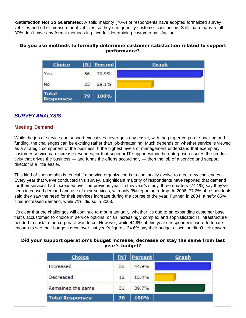•**Satisfaction Not So Guaranteed:** A solid majority (70%) of respondents have adopted formalized survey vehicles and other measurement vehicles so they can quantify customer satisfaction. Still, that means a full 30% don't have any formal methods in place for determining customer satisfaction.

## **Do you use methods to formally determine customer satisfaction related to support performance?**

| Choice                            |    | [N] Percent | <b>Graph</b> |
|-----------------------------------|----|-------------|--------------|
| Yes                               | 56 | 70.9%       |              |
| No                                | 23 | 29.1%       |              |
| <b>Total</b><br><b>Responses:</b> | 79 | 100%        |              |

# *SURVEY ANALYSIS*

# **Meeting Demand**

While the job of service and support executives never gets any easier, with the proper corporate backing and funding, the challenges can be exciting rather than job-threatening. Much depends on whether service is viewed as a strategic component of the business. If the highest levels of management understand that exemplary customer service can increase revenues, or that superior IT support within the enterprise ensures the productivity that drives the business — and funds the efforts accordingly — then the job of a service and support director is a little easier.

This kind of sponsorship is crucial if a service organization is to continually evolve to meet new challenges. Every year that we've conducted this survey, a significant majority of respondents have reported that demand for their services had increased over the previous year. In this year's study, three quarters (74.1%) say they've seen increased demand and use of their services, with only 3% reporting a drop. In 2006, 77.2% of respondents said they saw the need for their services increase during the course of the year. Further, in 2004, a hefty 85% cited increased demand, while 71% did so in 2003.

It's clear that the challenges will continue to mount annually, whether it's due to an expanding customer base that's accustomed to choice in service options, or an increasingly complex and sophisticated IT infrastructure needed to sustain the corporate workforce. However, while 44.9% of this year's respondents were fortunate enough to see their budgets grow over last year's figures, 34.6% say their budget allocation didn't tick upward.

#### **Did your support operation's budget increase, decrease or stay the same from last year's budget?**

| <b>Choice</b>           | [M] | Percent | Graph |
|-------------------------|-----|---------|-------|
| Increased               | 35  | 44.9%   |       |
| Decreased               | 12  | 15.4%   |       |
| Remained the same       | 31  | 39.7%   |       |
| <b>Total Responses:</b> | 78  | 100%    |       |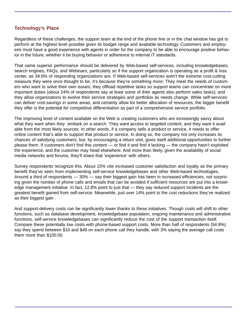# **Technology's Place**

Regardless of these challenges, the support team at the end of the phone line or in the chat window has got to perform at the highest level possible given its budget range and available technology. Customers and employees must have a good experience with agents in order for the company to be able to encourage positive behavior in the future, whether it be buying behavior or adherence to internal IT standards.

That same superior performance should be delivered by Web-based self-services, including knowledgebases, search engines, FAQs, and Webinars, particularly so if the support organization is operating as a profit & loss center, as 34.6% of responding organizations are. If Web-based self-services aren't the extreme cost-cutting measure they were once thought to be, it's because they're something more: They meet the needs of customers who want to solve their own issues; they offload repetitive tasks so support teams can concentrate on more important duties (about 24% of respondents say at least some of their agents also perform sales tasks); and they allow organizations to evolve their service strategies and portfolios as needs change. While self-services can deliver cost-savings in some areas, and certainly allow for better allocation of resources, the bigger benefit they offer is the potential for competitive differentiation as part of a comprehensive service portfolio.

The improving level of content available on the Web is creating customers who are increasingly savvy about what they want when they embark on a search: They want access to targeted content, and they want it available from the most likely sources. In other words, if a company sells a product or service, it needs to offer online content that's able to support that product or service. In doing so, the company not only increases its chances of satisfying customers, but, by encouraging a return visit, gives itself additional opportunities to further please them. If customers don't find this content — or find it and find it lacking — the company hasn't exploited the experience, and the customer may head elsewhere. And more than likely, given the availability of social media networks and forums, they'll share that 'experience' with others.

Survey respondents recognize this. About 15% cite increased customer satisfaction and loyalty as the primary benefit they've seen from implementing self-service knowledgebases and other Web-based technologies. Around a third of respondents — 30% — say their biggest gain has been in increased efficiencies, not surprising given the number of phone calls and emails that can be avoided if sufficient resources are put into a knowledge management initiative. In fact, 12.8% point to just that — they say reduced support incidents are the greatest benefit gained from self-service. Meanwhile, just over 14% point to the cost reductions they've realized as their biggest gain .

And support-delivery costs can be significantly lower thanks to these initiatives. Though costs will shift to other functions, such as database development, knowledgebase population, ongoing maintenance and administrative functions, self-service knowledgebases can significantly reduce the cost of the support transaction itself. Compare these potentially low costs with phone-based support costs. More than half of respondents (54.8%) say they spend between \$10 and \$49 on each phone call they handle, with 3% saying the average call costs them more than \$100.00.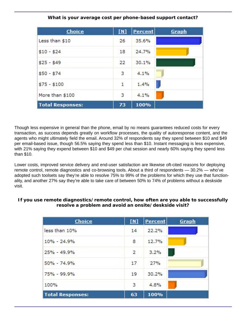| <b>Choice</b>           | N <sub>1</sub> | <b>Percent</b> | Graph |
|-------------------------|----------------|----------------|-------|
| Less than \$10          | 26             | 35.6%          |       |
| $$10 - $24$             | 18             | 24.7%          |       |
| $$25 - $49$             | 22             | 30.1%          |       |
| $$50 - $74$             | з              | 4.1%           |       |
| $$75 - $100$            | $\mathbf{1}$   | 1.4%           |       |
| More than \$100         | 3              | 4.1%           |       |
| <b>Total Responses:</b> | 73             | 100%           |       |

# **What is your average cost per phone-based support contact?**

Though less expensive in general than the phone, email by no means guarantees reduced costs for every transaction, as success depends greatly on workflow processes, the quality of autoresponse content, and the agents who might ultimately field the email. Around 32% of respondents say they spend between \$10 and \$49 per email-based issue, though 56.5% saying they spend less than \$10. Instant messaging is less expensive, with 21% saying they expend between \$10 and \$49 per chat session and nearly 60% saying they spend less than \$10.

Lower costs, improved service delivery and end-user satisfaction are likewise oft-cited reasons for deploying remote control, remote diagnostics and co-browsing tools. About a third of respondents — 30.2% — who've adopted such toolsets say they're able to resolve 75% to 99% of the problems for which they use that functionality, and another 27% say they're able to take care of between 50% to 74% of problems without a deskside visit.

## **If you use remote diagnostics/remote control, how often are you able to successfully resolve a problem and avoid an onsite/deskside visit?**

| <b>Choice</b>           | [M]            | Percent    | Graph |
|-------------------------|----------------|------------|-------|
| less than 10%           | 14             | 22.2%      |       |
| $10\% - 24.9\%$         | 8              | 12.7%      |       |
| $25% - 49.9%$           | $\overline{2}$ | 3.2%<br>N, |       |
| $50\% - 74.9\%$         | 17             | 27%        |       |
| $75\% - 99.9\%$         | 19             | 30.2%      |       |
| 100%                    | 3              | 4.8%       |       |
| <b>Total Responses:</b> | 63             | 100%       |       |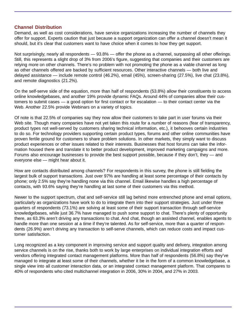#### **Channel Distribution**

Demand, as well as cost considerations, have service organizations increasing the number of channels they offer for support. Experts caution that just because a support organization can offer a channel doesn't mean it should, but it's clear that customers want to have choice when it comes to how they get support.

Not surprisingly, nearly all respondents — 93.8% — offer the phone as a channel, surpassing all other offerings. Still, this represents a slight drop of 3% from 2006's figure, suggesting that companies and their customers are relying more on other channels. There's no problem with not promoting the phone as a viable channel as long as other channels offered are backed by sufficient resources. Other interactive channels — both live and delayed assistance — include remote control (46.2%), email (45%), screen-sharing (27.5%), live chat (23.8%), and remote diagnostics (21.2%).

On the self-serve side of the equation, more than half of respondents (53.8%) allow their constituents to access online knowledgebases, and another 19% provide dynamic FAQs. Around 44% of companies allow their customers to submit cases — a good option for first contact or for escalation — to their contact center via the Web. Another 22.5% provide Webinars on a variety of topics.

Of note is that 22.5% of companies say they now allow their customers to take part in user forums via their Web site. Though many companies have not yet taken this route for a number of reasons (fear of transparency, product types not well-served by customers sharing technical information, etc.), it behooves certain industries to do so. For technology providers supporting certain product types, forums and other online communities have proven fertile ground for customers to share problem solutions. In other markets, they simply want to discuss product experiences or other issues related to their interests. Businesses that host forums can take the information housed there and translate it to better product development, improved marketing campaigns and more. Forums also encourage businesses to provide the best support possible, because if they don't, they — and everyone else — might hear about it.

How are contacts distributed among channels? For respondents in this survey, the phone is still fielding the largest bulk of support transactions. Just over 97% are handling at least some percentage of their contacts by phone; only 2.5% say they're handling none via this channel. Email likewise handles a high percentage of contacts, with 93.6% saying they're handling at last some of their customers via this method.

Newer to the support spectrum, chat and self-service still lag behind more entrenched phone and email options, particularly as organizations have work to do to integrate them into their support strategies. Just under three quarters of respondents (73.1%) are solving at least some of their support transaction through self-service knowledgebases, while just 36.7% have managed to push some support to chat. There's plenty of opportunity there, as 63.3% aren't driving any transactions to chat. And chat, though an assisted channel, enables agents to handle more than one session at a time if they're talented. As for self-service, more than a quarter of respondents (26.9%) aren't driving any transaction to self-serve channels, which can reduce costs and impact customer satisfaction.

Long recognized as a key component in improving service and support quality and delivery, integration among service channels is on the rise, thanks both to work by large enterprises on individual integration efforts and vendors offering integrated contact management platforms. More than half of respondents (56.8%) say they've managed to integrate at least some of their channels, whether it be in the form of a common knowledgebase, a single view into all customer interaction data, or an integrated contact management platform. That compares to 40% of respondents who cited multichannel integration in 2006, 30% in 2004, and 27% in 2003.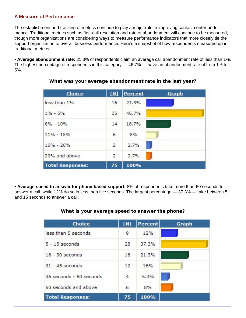# **A Measure of Performance**

The establishment and tracking of metrics continue to play a major role in improving contact center performance. Traditional metrics such as first-call resolution and rate of abandonment will continue to be measured, though more organizations are considering ways to measure performance indicators that more closely tie the support organization to overall business performance. Here's a snapshot of how respondents measured up in traditional metrics:

• **Average abandonment rate:** 21.3% of respondents claim an average call abandonment rate of less than 1%. The highest percentage of respondents in this category — 46.7% — have an abandonment rate of from 1% to 5%.

| Choice                  | N  | Percent | <b>Graph</b> |
|-------------------------|----|---------|--------------|
| less than 1%            | 16 | 21.3%   |              |
| $1\% - 5\%$             | 35 | 46.7%   |              |
| $6\% - 10\%$            | 14 | 18.7%   |              |
| $11\% - 15\%$           | 6  | 8%      |              |
| $16\% - 20\%$           | 2  | 2.7%    | ٦            |
| 20% and above           | 2  | 2.7%    |              |
| <b>Total Responses:</b> | 75 | 100%    |              |

**What was your average abandonment rate in the last year?**

• **Average speed to answer for phone-based support:** 8% of respondents take more than 60 seconds to answer a call, while 12% do so in less than five seconds. The largest percentage — 37.3% — take between 5 and 15 seconds to answer a call.

# **What is your average speed to answer the phone?**

| <b>Choice</b>           | <u>[N]</u> | <b>Percent</b> | Graph |
|-------------------------|------------|----------------|-------|
| less than 5 seconds     | 9          | 12%            |       |
| $5 - 15$ seconds        | 28         | 37.3%          |       |
| $16 - 30$ seconds       | 16         | 21.3%          |       |
| $31 - 45$ seconds       | 12         | 16%            |       |
| 46 seconds - 60 seconds | 4          | 5.3%           |       |
| 60 seconds and above    | 6          | 8%             |       |
| <b>Total Responses:</b> | 75         | 100%           |       |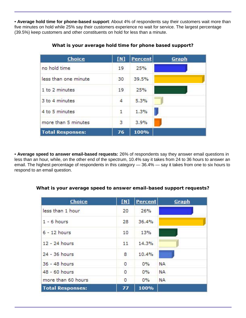• **Average hold time for phone-based support**: About 4% of respondents say their customers wait more than five minutes on hold while 25% say their customers experience no wait for service. The largest percentage (39.5%) keep customers and other constituents on hold for less than a minute.

| Choice                  | M              | Percent | Graph |
|-------------------------|----------------|---------|-------|
| no hold time            | 19             | 25%     |       |
| less than one minute    | 30             | 39.5%   |       |
| 1 to 2 minutes          | 19             | 25%     |       |
| 3 to 4 minutes          | 4              | 5.3%    |       |
| 4 to 5 minutes          | 1              | 1.3%    |       |
| more than 5 minutes     | $\overline{3}$ | 3.9%    |       |
| <b>Total Responses:</b> | 76             | 100%    |       |

**What is your average hold time for phone based support?**

• **Average speed to answer email-based requests:** 26% of respondents say they answer email questions in less than an hour, while, on the other end of the spectrum, 10.4% say it takes from 24 to 36 hours to answer an email. The highest percentage of respondents in this category — 36.4% — say it takes from one to six hours to respond to an email question.

#### **What is your average speed to answer email-based support requests?**

| Choice                  | [M]     | <b>Percent</b> | Graph     |
|-------------------------|---------|----------------|-----------|
| less than 1 hour        | 20      | 26%            |           |
| $1 - 6$ hours           | 28      | 36.4%          |           |
| $6 - 12$ hours          | 10      | 13%            |           |
| 12 - 24 hours           | 11      | 14.3%          |           |
| 24 - 36 hours           | 8       | 10.4%          |           |
| 36 - 48 hours           | 0       | $0\%$          | <b>NA</b> |
| 48 - 60 hours           | 0       | 0%             | <b>NA</b> |
| more than 60 hours      | $\circ$ | $0\%$          | <b>NA</b> |
| <b>Total Responses:</b> | 77      | 100%           |           |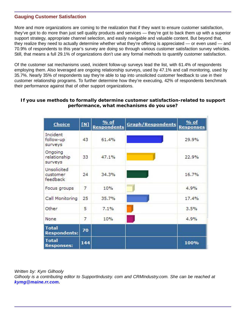# **Gauging Customer Satisfaction**

More and more organizations are coming to the realization that if they want to ensure customer satisfaction, they've got to do more than just sell quality products and services — they're got to back them up with a superior support strategy, appropriate channel selection, and easily navigable and valuable content. But beyond that, they realize they need to actually determine whether what they're offering is appreciated — or even used — and 70.9% of respondents to this year's survey are doing so through various customer satisfaction survey vehicles. Still, that means a full 29.1% of organizations don't use any formal methods to quantify customer satisfaction.

Of the customer sat mechanisms used, incident follow-up surveys lead the list, with 61.4% of respondents employing them. Also leveraged are ongoing relationship surveys, used by 47.1% and call monitoring, used by 35.7%. Nearly 35% of respondents say they're able to tap into unsolicited customer feedback to use in their customer relationship programs. To further determine how they're executing, 42% of respondents benchmark their performance against that of other support organizations.

## **If you use methods to formally determine customer satisfaction-related to support performance, what mechanisms do you use?**

| Choice                              | $\mathbf{M}$   | $%$ of<br><b>Respondents</b> | <b>Graph/Respondents</b> | $%$ of<br><b>Responses</b> |
|-------------------------------------|----------------|------------------------------|--------------------------|----------------------------|
| Incident<br>follow-up<br>surveys    | 43             | 61.4%                        |                          | 29.9%                      |
| Ongoing<br>relationship<br>surveys  | 33             | 47.1%                        |                          | 22.9%                      |
| Unsolicited<br>customer<br>feedback | 24             | 34.3%                        |                          | 16.7%                      |
| Focus groups                        | 7              | 10%                          |                          | 4.9%                       |
| Call Monitoring                     | 25             | 35.7%                        |                          | 17.4%                      |
| Other                               | 5              | 7.1%                         |                          | 3.5%                       |
| None                                | $\overline{7}$ | 10%                          |                          | 4.9%                       |
| <b>Total</b><br><b>Respondents:</b> | 70             |                              |                          |                            |
| <b>Total</b><br><b>Responses:</b>   | 144            |                              |                          | 100%                       |

*Written by: Kym Gilhooly*

*Gilhooly is a contributing editor to SupportIndustry. com and CRMIndustry.com. She can be reached at kymg@maine.rr.com.*